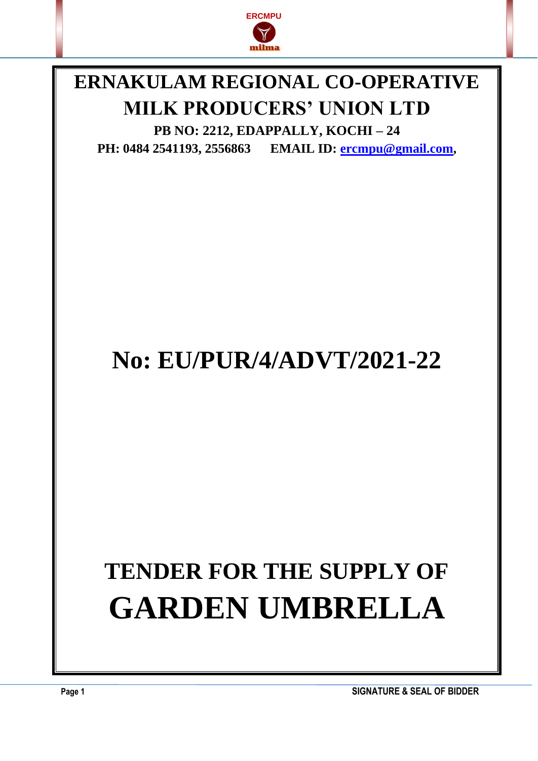

### **ERNAKULAM REGIONAL CO-OPERATIVE MILK PRODUCERS' UNION LTD**

**PB NO: 2212, EDAPPALLY, KOCHI – 24 PH: 0484 2541193, 2556863 EMAIL ID: [ercmpu@gmail.com](mailto:ercmpu@gmail.com),**

## **No: EU/PUR/4/ADVT/2021-22**

# **TENDER FOR THE SUPPLY OF GARDEN UMBRELLA**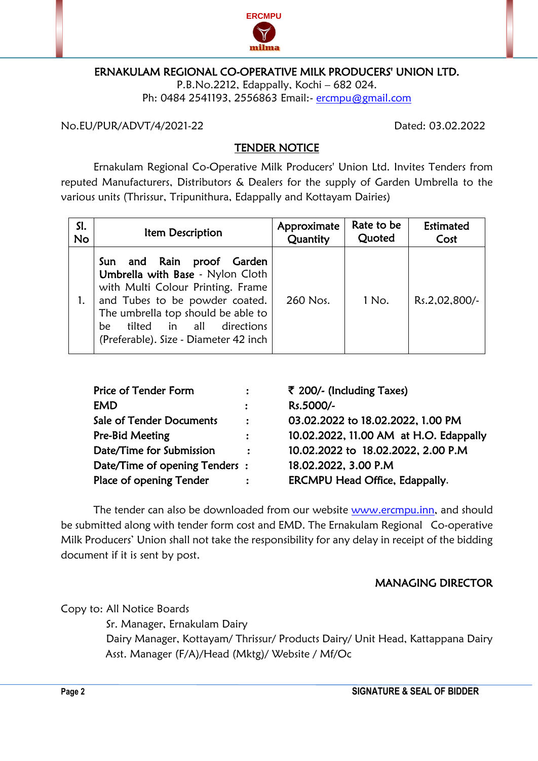

#### ERNAKULAM REGIONAL CO-OPERATIVE MILK PRODUCERS' UNION LTD.

P.B.No.2212, Edappally, Kochi – 682 024. Ph: 0484 2541193, 2556863 Email:- [ercmpu@gmail.com](mailto:ercmpu@gmail.com)

No.EU/PUR/ADVT/4/2021-22 Dated: 03.02.2022

#### TENDER NOTICE

Ernakulam Regional Co-Operative Milk Producers' Union Ltd. Invites Tenders from reputed Manufacturers, Distributors & Dealers for the supply of Garden Umbrella to the various units (Thrissur, Tripunithura, Edappally and Kottayam Dairies)

| SI.       | Item Description                                                                                                                                                                                                                                         | Approximate | Rate to be | Estimated     |
|-----------|----------------------------------------------------------------------------------------------------------------------------------------------------------------------------------------------------------------------------------------------------------|-------------|------------|---------------|
| <b>No</b> |                                                                                                                                                                                                                                                          | Quantity    | Quoted     | Cost          |
|           | Sun and Rain proof Garden<br>Umbrella with Base - Nylon Cloth<br>with Multi Colour Printing. Frame<br>and Tubes to be powder coated.<br>The umbrella top should be able to<br>tilted in all<br>directions<br>be<br>(Preferable). Size - Diameter 42 inch | 260 Nos.    | 1 No.      | Rs.2,02,800/- |

| Price of Tender Form            | $\ddot{\cdot}$       | ₹ 200/- (Including Taxes)              |
|---------------------------------|----------------------|----------------------------------------|
| <b>EMD</b>                      | $\ddot{\phantom{a}}$ | Rs.5000/-                              |
| <b>Sale of Tender Documents</b> | $\ddot{\cdot}$       | 03.02.2022 to 18.02.2022, 1.00 PM      |
| Pre-Bid Meeting                 |                      | 10.02.2022, 11.00 AM at H.O. Edappally |
| Date/Time for Submission        | $\mathbf{r}$         | 10.02.2022 to 18.02.2022, 2.00 P.M     |
| Date/Time of opening Tenders:   |                      | 18.02.2022, 3.00 P.M                   |
| Place of opening Tender         |                      | <b>ERCMPU Head Office, Edappally.</b>  |
|                                 |                      |                                        |

The tender can also be downloaded from our website [www.ercmpu.inn,](http://www.ercmpu.inn/) and should be submitted along with tender form cost and EMD. The Ernakulam Regional Co-operative Milk Producers' Union shall not take the responsibility for any delay in receipt of the bidding document if it is sent by post.

#### MANAGING DIRECTOR

Copy to: All Notice Boards

 Sr. Manager, Ernakulam Dairy Dairy Manager, Kottayam/ Thrissur/ Products Dairy/ Unit Head, Kattappana Dairy Asst. Manager (F/A)/Head (Mktg)/ Website / Mf/Oc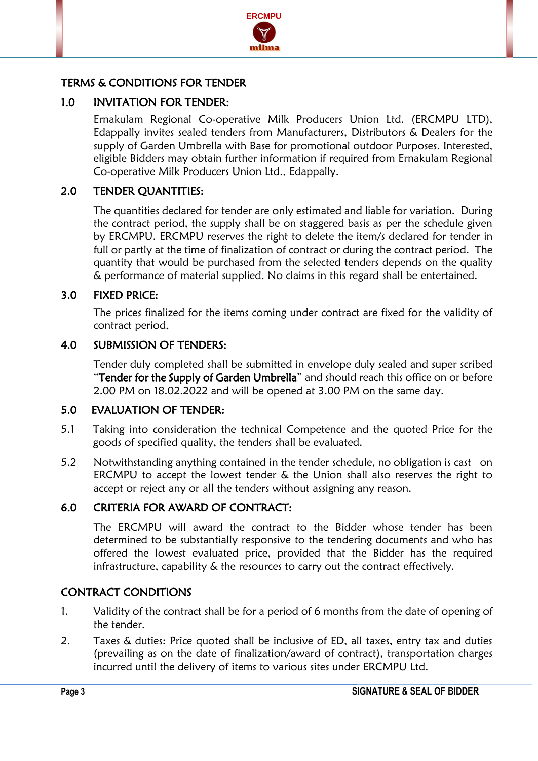

#### TERMS & CONDITIONS FOR TENDER

#### 1.0 INVITATION FOR TENDER:

Ernakulam Regional Co-operative Milk Producers Union Ltd. (ERCMPU LTD), Edappally invites sealed tenders from Manufacturers, Distributors & Dealers for the supply of Garden Umbrella with Base for promotional outdoor Purposes. Interested, eligible Bidders may obtain further information if required from Ernakulam Regional Co-operative Milk Producers Union Ltd., Edappally.

#### 2.0 TENDER QUANTITIES:

The quantities declared for tender are only estimated and liable for variation. During the contract period, the supply shall be on staggered basis as per the schedule given by ERCMPU. ERCMPU reserves the right to delete the item/s declared for tender in full or partly at the time of finalization of contract or during the contract period. The quantity that would be purchased from the selected tenders depends on the quality & performance of material supplied. No claims in this regard shall be entertained.

#### 3.0 FIXED PRICE:

The prices finalized for the items coming under contract are fixed for the validity of contract period.

#### 4.0 SUBMISSION OF TENDERS:

Tender duly completed shall be submitted in envelope duly sealed and super scribed "Tender for the Supply of Garden Umbrella" and should reach this office on or before 2.00 PM on 18.02.2022 and will be opened at 3.00 PM on the same day.

#### 5.0 EVALUATION OF TENDER:

- 5.1 Taking into consideration the technical Competence and the quoted Price for the goods of specified quality, the tenders shall be evaluated.
- 5.2 Notwithstanding anything contained in the tender schedule, no obligation is cast on ERCMPU to accept the lowest tender & the Union shall also reserves the right to accept or reject any or all the tenders without assigning any reason.

#### 6.0 CRITERIA FOR AWARD OF CONTRACT:

The ERCMPU will award the contract to the Bidder whose tender has been determined to be substantially responsive to the tendering documents and who has offered the lowest evaluated price, provided that the Bidder has the required infrastructure, capability & the resources to carry out the contract effectively.

#### CONTRACT CONDITIONS

- 1. Validity of the contract shall be for a period of 6 months from the date of opening of the tender.
- 2. Taxes & duties: Price quoted shall be inclusive of ED, all taxes, entry tax and duties (prevailing as on the date of finalization/award of contract), transportation charges incurred until the delivery of items to various sites under ERCMPU Ltd.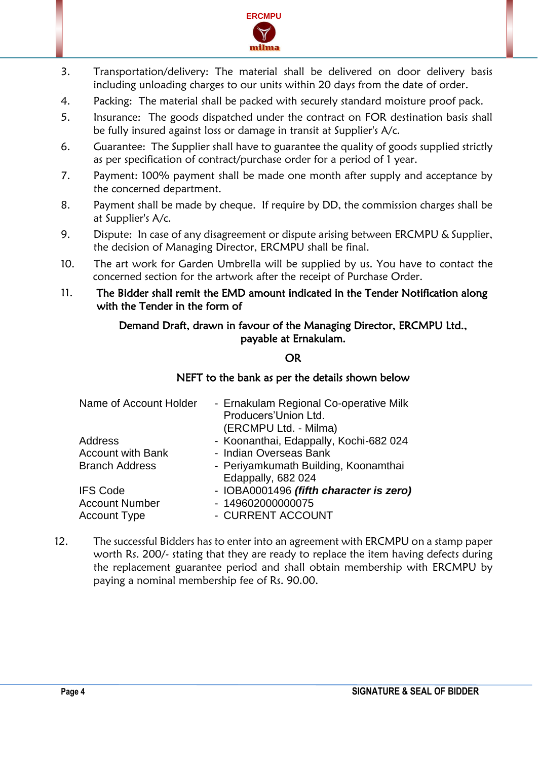

- 3. Transportation/delivery: The material shall be delivered on door delivery basis including unloading charges to our units within 20 days from the date of order.
- 4. Packing: The material shall be packed with securely standard moisture proof pack.
- 5. Insurance: The goods dispatched under the contract on FOR destination basis shall be fully insured against loss or damage in transit at Supplier's A/c.
- 6. Guarantee: The Supplier shall have to guarantee the quality of goods supplied strictly as per specification of contract/purchase order for a period of 1 year.
- 7. Payment: 100% payment shall be made one month after supply and acceptance by the concerned department.
- 8. Payment shall be made by cheque. If require by DD, the commission charges shall be at Supplier's A/c.
- 9. Dispute: In case of any disagreement or dispute arising between ERCMPU & Supplier, the decision of Managing Director, ERCMPU shall be final.
- 10. The art work for Garden Umbrella will be supplied by us. You have to contact the concerned section for the artwork after the receipt of Purchase Order.
- 11. The Bidder shall remit the EMD amount indicated in the Tender Notification along with the Tender in the form of

#### Demand Draft, drawn in favour of the Managing Director, ERCMPU Ltd., payable at Ernakulam.

#### OR

#### NEFT to the bank as per the details shown below

| Name of Account Holder   | - Ernakulam Regional Co-operative Milk<br>Producers'Union Ltd.<br>(ERCMPU Ltd. - Milma) |
|--------------------------|-----------------------------------------------------------------------------------------|
| Address                  | - Koonanthai, Edappally, Kochi-682 024                                                  |
| <b>Account with Bank</b> | - Indian Overseas Bank                                                                  |
| <b>Branch Address</b>    | - Periyamkumath Building, Koonamthai<br>Edappally, 682 024                              |
| <b>IFS Code</b>          | - IOBA0001496 (fifth character is zero)                                                 |
| <b>Account Number</b>    | - 149602000000075                                                                       |
| <b>Account Type</b>      | - CURRENT ACCOUNT                                                                       |
|                          |                                                                                         |

12. The successful Bidders has to enter into an agreement with ERCMPU on a stamp paper worth Rs. 200/- stating that they are ready to replace the item having defects during the replacement guarantee period and shall obtain membership with ERCMPU by paying a nominal membership fee of Rs. 90.00.